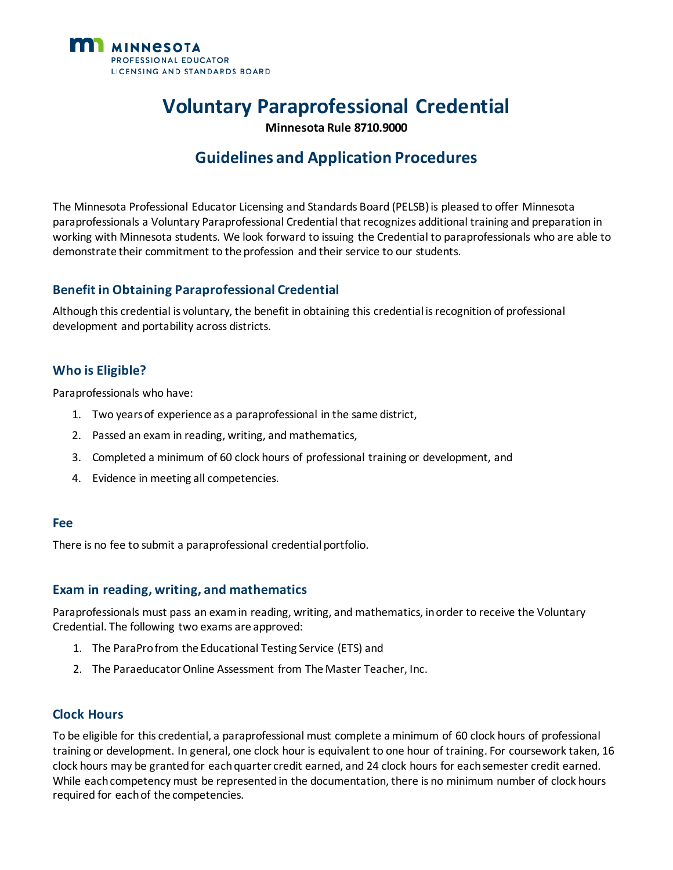

# **Voluntary Paraprofessional Credential**

**Minnesota Rule 8710.9000**

## **Guidelines and Application Procedures**

The Minnesota Professional Educator Licensing and Standards Board (PELSB)is pleased to offer Minnesota paraprofessionals a Voluntary Paraprofessional Credential that recognizes additional training and preparation in working with Minnesota students. We look forward to issuing the Credential to paraprofessionals who are able to demonstrate their commitment to the profession and their service to our students.

#### **Benefit in Obtaining Paraprofessional Credential**

Although this credential is voluntary, the benefit in obtaining this credential isrecognition of professional development and portability across districts.

#### **Who is Eligible?**

Paraprofessionals who have:

- 1. Two yearsof experience as a paraprofessional in the same district,
- 2. Passed an exam in reading, writing, and mathematics,
- 3. Completed a minimum of 60 clock hours of professional training or development, and
- 4. Evidence in meeting all competencies.

#### **Fee**

There is no fee to submit a paraprofessional credential portfolio.

#### **Exam in reading, writing, and mathematics**

Paraprofessionals must pass an exam in reading, writing, and mathematics, in order to receive the Voluntary Credential. The following two exams are approved:

- 1. The ParaPro from the Educational Testing Service (ETS) and
- 2. The Paraeducator Online Assessment from The Master Teacher, Inc.

#### **Clock Hours**

To be eligible for this credential, a paraprofessional must complete a minimum of 60 clock hours of professional training or development. In general, one clock hour is equivalent to one hour of training. For coursework taken, 16 clock hours may be granted for each quarter credit earned, and 24 clock hours for each semester credit earned. While each competency must be represented in the documentation, there is no minimum number of clock hours required for each of the competencies.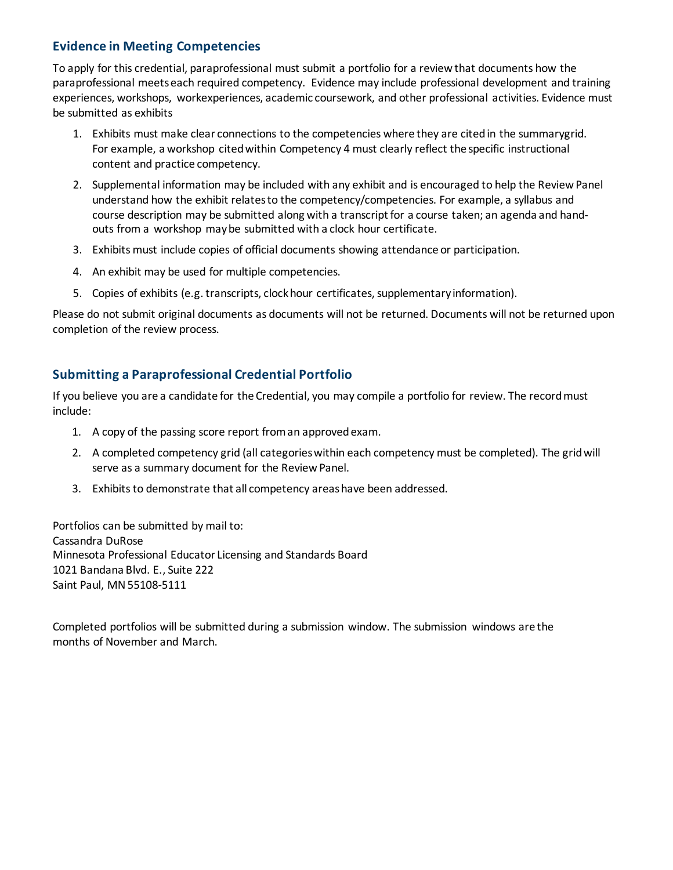#### **Evidence in Meeting Competencies**

To apply for this credential, paraprofessional must submit a portfolio for a review that documents how the paraprofessional meets each required competency. Evidence may include professional development and training experiences, workshops, workexperiences, academic coursework, and other professional activities. Evidence must be submitted as exhibits

- 1. Exhibits must make clear connections to the competencies where they are cited in the summarygrid. For example, a workshop cited within Competency 4 must clearly reflect the specific instructional content and practice competency.
- 2. Supplemental information may be included with any exhibit and is encouraged to help the Review Panel understand how the exhibit relates to the competency/competencies. For example, a syllabus and course description may be submitted along with a transcript for a course taken; an agenda and handouts from a workshop maybe submitted with a clock hour certificate.
- 3. Exhibits must include copies of official documents showing attendance or participation.
- 4. An exhibit may be used for multiple competencies.
- 5. Copies of exhibits (e.g. transcripts, clock hour certificates, supplementary information).

Please do not submit original documents as documents will not be returned. Documents will not be returned upon completion of the review process.

### **Submitting a Paraprofessional Credential Portfolio**

If you believe you are a candidate for the Credential, you may compile a portfolio for review. The recordmust include:

- 1. A copy of the passing score report from an approved exam.
- 2. A completed competency grid (all categories within each competency must be completed). The grid will serve as a summary document for the Review Panel.
- 3. Exhibits to demonstrate that all competency areas have been addressed.

Portfolios can be submitted by mail to: Cassandra DuRose Minnesota Professional Educator Licensing and Standards Board 1021 Bandana Blvd. E., Suite 222 Saint Paul, MN55108-5111

Completed portfolios will be submitted during a submission window. The submission windows are the months of November and March.